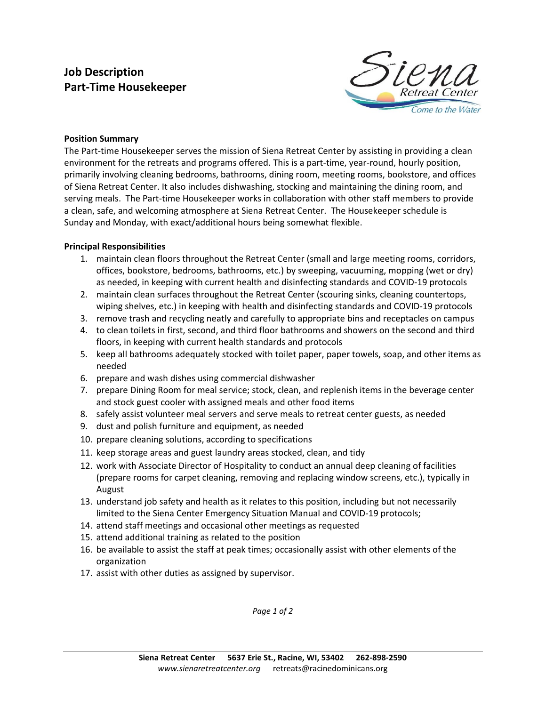## **Job Description Part-Time Housekeeper**



## **Position Summary**

The Part-time Housekeeper serves the mission of Siena Retreat Center by assisting in providing a clean environment for the retreats and programs offered. This is a part-time, year-round, hourly position, primarily involving cleaning bedrooms, bathrooms, dining room, meeting rooms, bookstore, and offices of Siena Retreat Center. It also includes dishwashing, stocking and maintaining the dining room, and serving meals. The Part-time Housekeeper works in collaboration with other staff members to provide a clean, safe, and welcoming atmosphere at Siena Retreat Center. The Housekeeper schedule is Sunday and Monday, with exact/additional hours being somewhat flexible.

## **Principal Responsibilities**

- 1. maintain clean floors throughout the Retreat Center (small and large meeting rooms, corridors, offices, bookstore, bedrooms, bathrooms, etc.) by sweeping, vacuuming, mopping (wet or dry) as needed, in keeping with current health and disinfecting standards and COVID-19 protocols
- 2. maintain clean surfaces throughout the Retreat Center (scouring sinks, cleaning countertops, wiping shelves, etc.) in keeping with health and disinfecting standards and COVID-19 protocols
- 3. remove trash and recycling neatly and carefully to appropriate bins and receptacles on campus
- 4. to clean toilets in first, second, and third floor bathrooms and showers on the second and third floors, in keeping with current health standards and protocols
- 5. keep all bathrooms adequately stocked with toilet paper, paper towels, soap, and other items as needed
- 6. prepare and wash dishes using commercial dishwasher
- 7. prepare Dining Room for meal service; stock, clean, and replenish items in the beverage center and stock guest cooler with assigned meals and other food items
- 8. safely assist volunteer meal servers and serve meals to retreat center guests, as needed
- 9. dust and polish furniture and equipment, as needed
- 10. prepare cleaning solutions, according to specifications
- 11. keep storage areas and guest laundry areas stocked, clean, and tidy
- 12. work with Associate Director of Hospitality to conduct an annual deep cleaning of facilities (prepare rooms for carpet cleaning, removing and replacing window screens, etc.), typically in August
- 13. understand job safety and health as it relates to this position, including but not necessarily limited to the Siena Center Emergency Situation Manual and COVID-19 protocols;
- 14. attend staff meetings and occasional other meetings as requested
- 15. attend additional training as related to the position
- 16. be available to assist the staff at peak times; occasionally assist with other elements of the organization
- 17. assist with other duties as assigned by supervisor.

*Page 1 of 2*